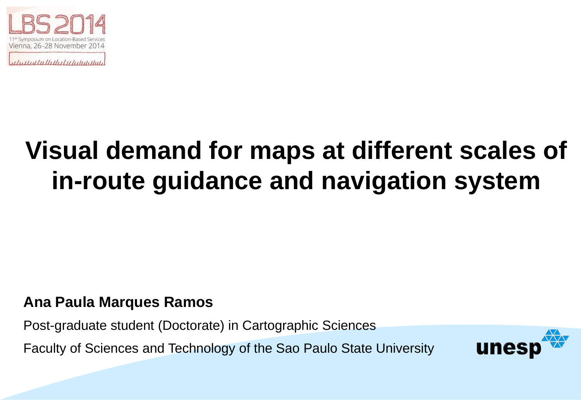

unthellathyluhinghali

# **Visual demand for maps at different scales of in-route guidance and navigation system**

#### **Ana Paula Marques Ramos**

Post-graduate student (Doctorate) in Cartographic Sciences

Faculty of Sciences and Technology of the Sao Paulo State University

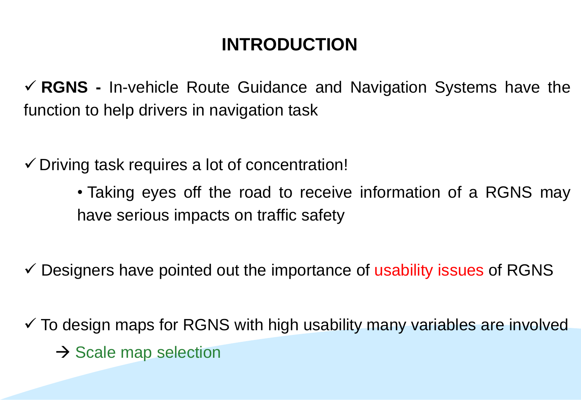### **INTRODUCTION**

 **RGNS -** In-vehicle Route Guidance and Navigation Systems have the function to help drivers in navigation task

 $\checkmark$  Driving task requires a lot of concentration!

- Taking eyes off the road to receive information of a RGNS may have serious impacts on traffic safety
- $\checkmark$  Designers have pointed out the importance of usability issues of RGNS
- $\checkmark$  To design maps for RGNS with high usability many variables are involved  $\rightarrow$  Scale map selection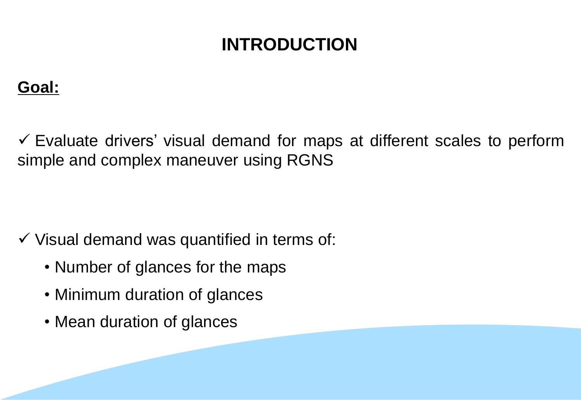### **INTRODUCTION**

#### **Goal:**

 $\checkmark$  Evaluate drivers' visual demand for maps at different scales to perform simple and complex maneuver using RGNS

 $\checkmark$  Visual demand was quantified in terms of:

- Number of glances for the maps
- Minimum duration of glances
- Mean duration of glances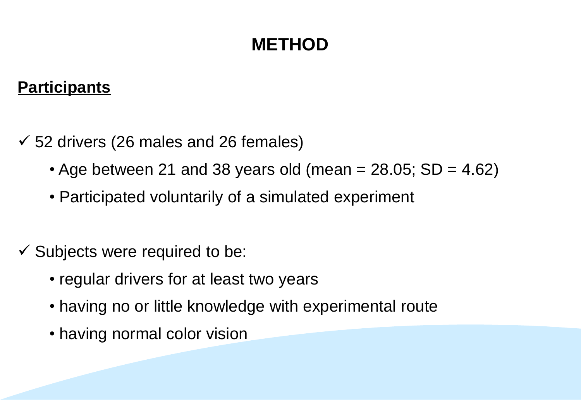#### **Participants**

- $\checkmark$  52 drivers (26 males and 26 females)
	- Age between 21 and 38 years old (mean  $= 28.05$ ; SD  $= 4.62$ )
	- Participated voluntarily of a simulated experiment
- $\checkmark$  Subjects were required to be:
	- regular drivers for at least two years
	- having no or little knowledge with experimental route
	- having normal color vision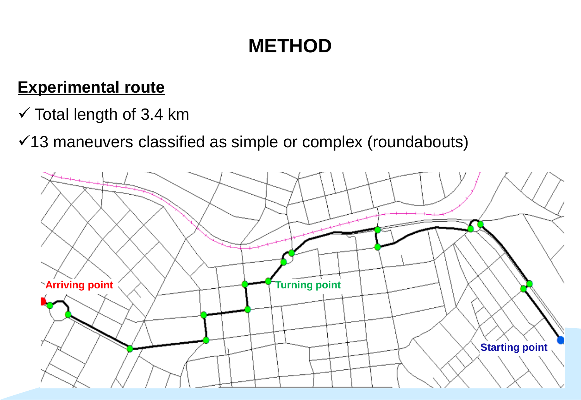#### **Experimental route**

- $\checkmark$  Total length of 3.4 km
- $\checkmark$ 13 maneuvers classified as simple or complex (roundabouts)

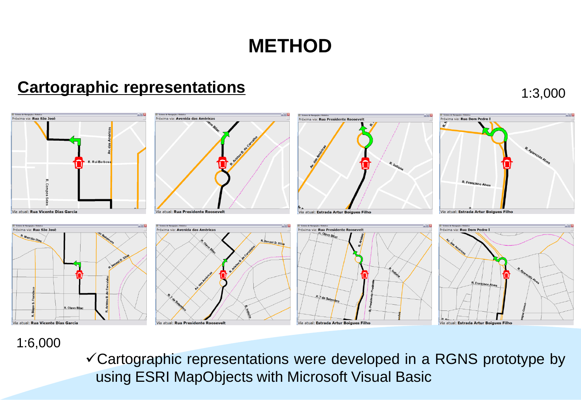#### **Cartographic representations**

# Próxima via: Rua São José R. Rui Barbos Via atual: Rua Vicente Dias Garcia















#### 1:6,000

Cartographic representations were developed in a RGNS prototype by using ESRI MapObjects with Microsoft Visual Basic

#### 1:3,000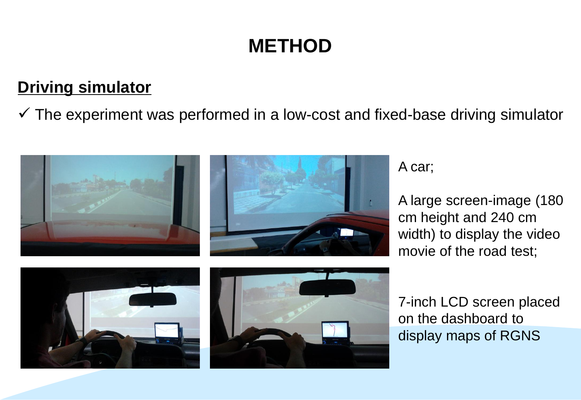#### **Driving simulator**

 $\checkmark$  The experiment was performed in a low-cost and fixed-base driving simulator



A car;

A large screen-image (180 cm height and 240 cm width) to display the video movie of the road test;





7-inch LCD screen placed on the dashboard to display maps of RGNS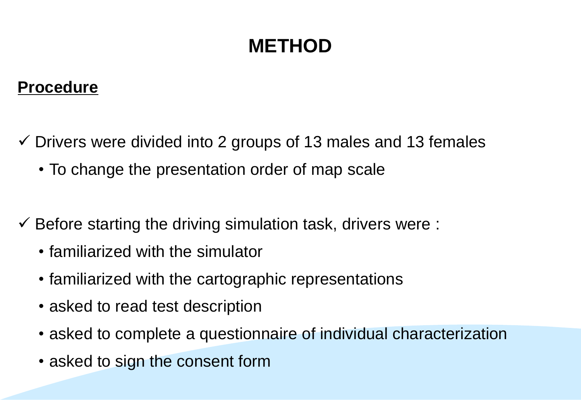#### **Procedure**

- $\checkmark$  Drivers were divided into 2 groups of 13 males and 13 females
	- To change the presentation order of map scale
- $\checkmark$  Before starting the driving simulation task, drivers were :
	- familiarized with the simulator
	- familiarized with the cartographic representations
	- asked to read test description
	- asked to complete a questionnaire of individual characterization
	- asked to sign the consent form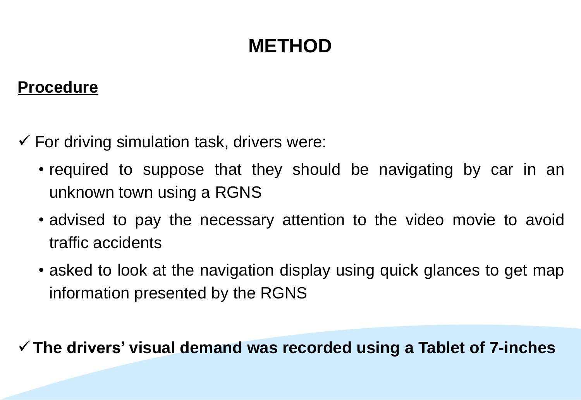#### **Procedure**

- $\checkmark$  For driving simulation task, drivers were:
	- required to suppose that they should be navigating by car in an unknown town using a RGNS
	- advised to pay the necessary attention to the video movie to avoid traffic accidents
	- asked to look at the navigation display using quick glances to get map information presented by the RGNS

**The drivers' visual demand was recorded using a Tablet of 7-inches**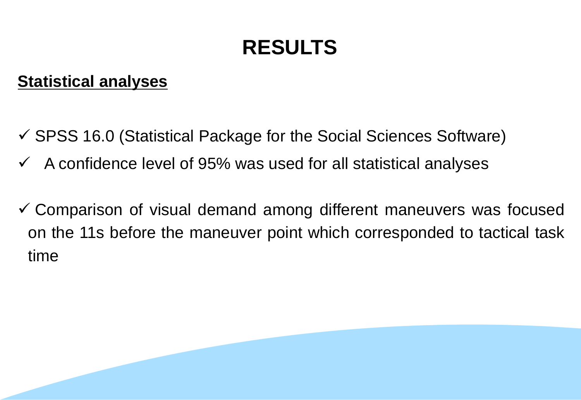# **RESULTS**

#### **Statistical analyses**

- $\checkmark$  SPSS 16.0 (Statistical Package for the Social Sciences Software)
- $\checkmark$  A confidence level of 95% was used for all statistical analyses
- Comparison of visual demand among different maneuvers was focused on the 11s before the maneuver point which corresponded to tactical task time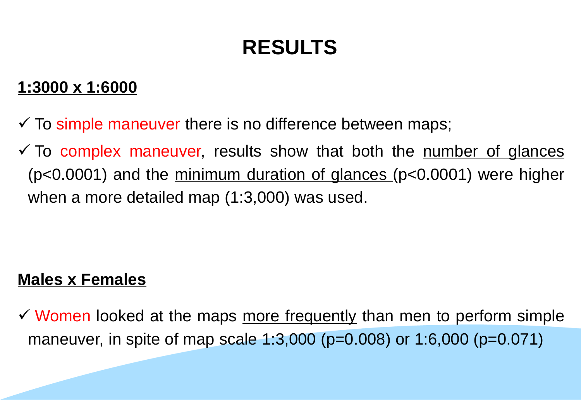# **RESULTS**

#### **1:3000 x 1:6000**

- $\checkmark$  To simple maneuver there is no difference between maps;
- $\checkmark$  To complex maneuver, results show that both the number of glances (p<0.0001) and the minimum duration of glances (p<0.0001) were higher when a more detailed map (1:3,000) was used.

#### **Males x Females**

 $\checkmark$  Women looked at the maps more frequently than men to perform simple maneuver, in spite of map scale 1:3,000 (p=0.008) or 1:6,000 (p=0.071)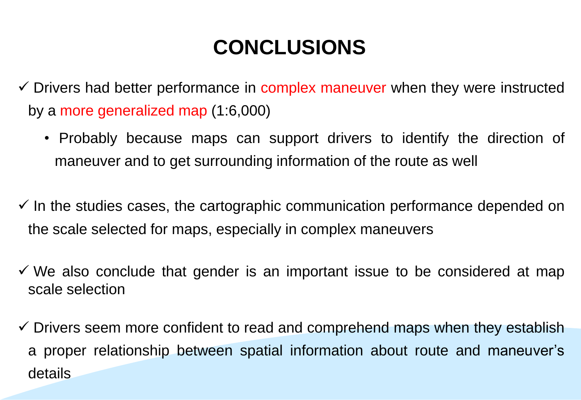# **CONCLUSIONS**

- $\checkmark$  Drivers had better performance in complex maneuver when they were instructed by a more generalized map (1:6,000)
	- Probably because maps can support drivers to identify the direction of maneuver and to get surrounding information of the route as well
- $\checkmark$  In the studies cases, the cartographic communication performance depended on the scale selected for maps, especially in complex maneuvers
- $\checkmark$  We also conclude that gender is an important issue to be considered at map scale selection
- $\checkmark$  Drivers seem more confident to read and comprehend maps when they establish a proper relationship between spatial information about route and maneuver's details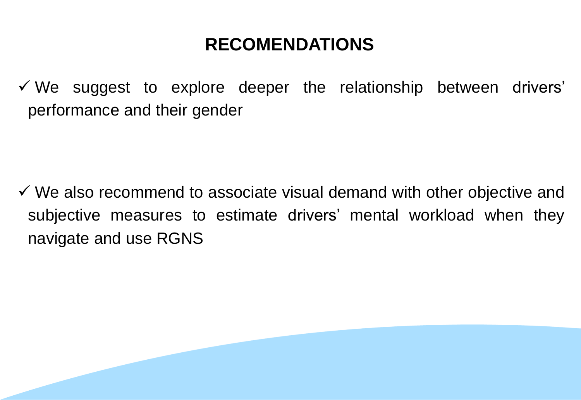### **RECOMENDATIONS**

 $\checkmark$  We suggest to explore deeper the relationship between drivers' performance and their gender

 $\checkmark$  We also recommend to associate visual demand with other objective and subjective measures to estimate drivers' mental workload when they navigate and use RGNS